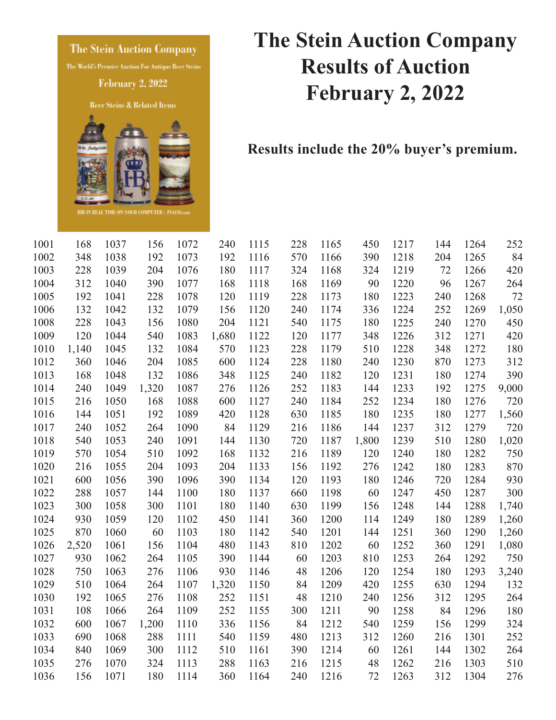**The Stein Auction Company** 

The World's Premier Auction For Antique Beer Steins

**February 2, 2022** 

Beer Steins & Related Items



## **The Stein Auction Company Results of Auction February 2, 2022**

**Results include the 20% buyer's premium.** 

| 1001 | 168   | 1037 | 156   | 1072 | 240   | 1115 | 228 | 1165 | 450   | 1217 | 144 | 1264 | 252   |
|------|-------|------|-------|------|-------|------|-----|------|-------|------|-----|------|-------|
| 1002 | 348   | 1038 | 192   | 1073 | 192   | 1116 | 570 | 1166 | 390   | 1218 | 204 | 1265 | 84    |
| 1003 | 228   | 1039 | 204   | 1076 | 180   | 1117 | 324 | 1168 | 324   | 1219 | 72  | 1266 | 420   |
| 1004 | 312   | 1040 | 390   | 1077 | 168   | 1118 | 168 | 1169 | 90    | 1220 | 96  | 1267 | 264   |
| 1005 | 192   | 1041 | 228   | 1078 | 120   | 1119 | 228 | 1173 | 180   | 1223 | 240 | 1268 | 72    |
| 1006 | 132   | 1042 | 132   | 1079 | 156   | 1120 | 240 | 1174 | 336   | 1224 | 252 | 1269 | 1,050 |
| 1008 | 228   | 1043 | 156   | 1080 | 204   | 1121 | 540 | 1175 | 180   | 1225 | 240 | 1270 | 450   |
| 1009 | 120   | 1044 | 540   | 1083 | 1,680 | 1122 | 120 | 1177 | 348   | 1226 | 312 | 1271 | 420   |
| 1010 | 1,140 | 1045 | 132   | 1084 | 570   | 1123 | 228 | 1179 | 510   | 1228 | 348 | 1272 | 180   |
| 1012 | 360   | 1046 | 204   | 1085 | 600   | 1124 | 228 | 1180 | 240   | 1230 | 870 | 1273 | 312   |
| 1013 | 168   | 1048 | 132   | 1086 | 348   | 1125 | 240 | 1182 | 120   | 1231 | 180 | 1274 | 390   |
| 1014 | 240   | 1049 | 1,320 | 1087 | 276   | 1126 | 252 | 1183 | 144   | 1233 | 192 | 1275 | 9,000 |
| 1015 | 216   | 1050 | 168   | 1088 | 600   | 1127 | 240 | 1184 | 252   | 1234 | 180 | 1276 | 720   |
| 1016 | 144   | 1051 | 192   | 1089 | 420   | 1128 | 630 | 1185 | 180   | 1235 | 180 | 1277 | 1,560 |
| 1017 | 240   | 1052 | 264   | 1090 | 84    | 1129 | 216 | 1186 | 144   | 1237 | 312 | 1279 | 720   |
| 1018 | 540   | 1053 | 240   | 1091 | 144   | 1130 | 720 | 1187 | 1,800 | 1239 | 510 | 1280 | 1,020 |
| 1019 | 570   | 1054 | 510   | 1092 | 168   | 1132 | 216 | 1189 | 120   | 1240 | 180 | 1282 | 750   |
| 1020 | 216   | 1055 | 204   | 1093 | 204   | 1133 | 156 | 1192 | 276   | 1242 | 180 | 1283 | 870   |
| 1021 | 600   | 1056 | 390   | 1096 | 390   | 1134 | 120 | 1193 | 180   | 1246 | 720 | 1284 | 930   |
| 1022 | 288   | 1057 | 144   | 1100 | 180   | 1137 | 660 | 1198 | 60    | 1247 | 450 | 1287 | 300   |
| 1023 | 300   | 1058 | 300   | 1101 | 180   | 1140 | 630 | 1199 | 156   | 1248 | 144 | 1288 | 1,740 |
| 1024 | 930   | 1059 | 120   | 1102 | 450   | 1141 | 360 | 1200 | 114   | 1249 | 180 | 1289 | 1,260 |
| 1025 | 870   | 1060 | 60    | 1103 | 180   | 1142 | 540 | 1201 | 144   | 1251 | 360 | 1290 | 1,260 |
| 1026 | 2,520 | 1061 | 156   | 1104 | 480   | 1143 | 810 | 1202 | 60    | 1252 | 360 | 1291 | 1,080 |
| 1027 | 930   | 1062 | 264   | 1105 | 390   | 1144 | 60  | 1203 | 810   | 1253 | 264 | 1292 | 750   |
| 1028 | 750   | 1063 | 276   | 1106 | 930   | 1146 | 48  | 1206 | 120   | 1254 | 180 | 1293 | 3,240 |
| 1029 | 510   | 1064 | 264   | 1107 | 1,320 | 1150 | 84  | 1209 | 420   | 1255 | 630 | 1294 | 132   |
| 1030 | 192   | 1065 | 276   | 1108 | 252   | 1151 | 48  | 1210 | 240   | 1256 | 312 | 1295 | 264   |
| 1031 | 108   | 1066 | 264   | 1109 | 252   | 1155 | 300 | 1211 | 90    | 1258 | 84  | 1296 | 180   |
| 1032 | 600   | 1067 | 1,200 | 1110 | 336   | 1156 | 84  | 1212 | 540   | 1259 | 156 | 1299 | 324   |
| 1033 | 690   | 1068 | 288   | 1111 | 540   | 1159 | 480 | 1213 | 312   | 1260 | 216 | 1301 | 252   |
| 1034 | 840   | 1069 | 300   | 1112 | 510   | 1161 | 390 | 1214 | 60    | 1261 | 144 | 1302 | 264   |
| 1035 | 276   | 1070 | 324   | 1113 | 288   | 1163 | 216 | 1215 | 48    | 1262 | 216 | 1303 | 510   |
| 1036 | 156   | 1071 | 180   | 1114 | 360   | 1164 | 240 | 1216 | 72    | 1263 | 312 | 1304 | 276   |
|      |       |      |       |      |       |      |     |      |       |      |     |      |       |